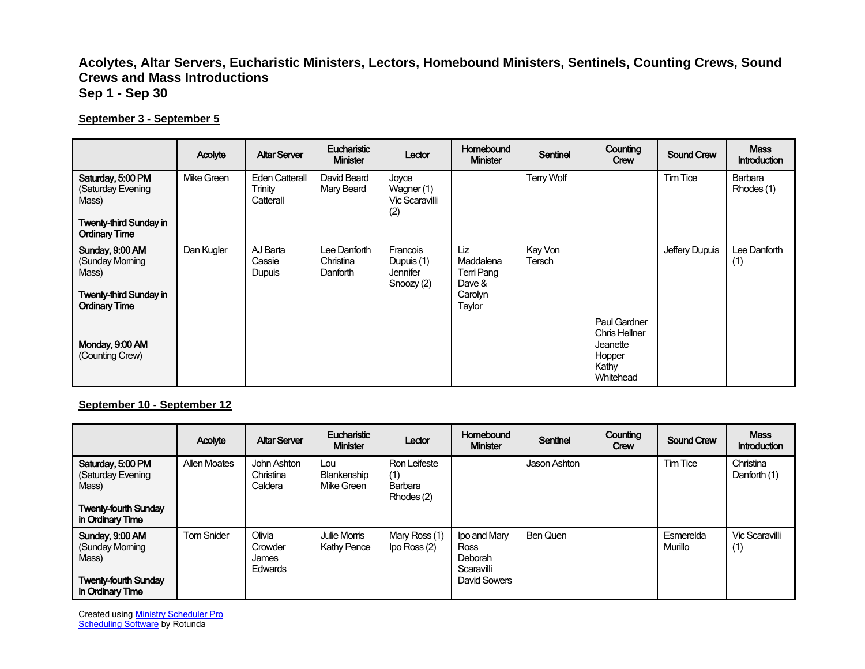## **Acolytes, Altar Servers, Eucharistic Ministers, Lectors, Homebound Ministers, Sentinels, Counting Crews, Sound Crews and Mass Introductions Sep 1 - Sep 30**

## **September 3 - September 5**

|                                                                                                          | Acolyte    | <b>Altar Server</b>                           | <b>Eucharistic</b><br><b>Minister</b> | Lector                                                    | <b>Homebound</b><br><b>Minister</b>                           | <b>Sentinel</b>   | Counting<br>Crew                                                          | <b>Sound Crew</b> | <b>Mass</b><br><b>Introduction</b> |
|----------------------------------------------------------------------------------------------------------|------------|-----------------------------------------------|---------------------------------------|-----------------------------------------------------------|---------------------------------------------------------------|-------------------|---------------------------------------------------------------------------|-------------------|------------------------------------|
| Saturday, 5:00 PM<br>(Saturday Evening<br>Mass)<br><b>Twenty-third Sunday in</b><br><b>Ordinary Time</b> | Mike Green | <b>Eden Catterall</b><br>Trinity<br>Catterall | David Beard<br>Mary Beard             | Joyce<br>Wagner (1)<br>Vic Scaravilli<br>(2)              |                                                               | Terry Wolf        |                                                                           | Tim Tice          | Barbara<br>Rhodes (1)              |
| Sunday, 9:00 AM<br>(Sunday Moming<br>Mass)<br><b>Twenty-third Sunday in</b><br><b>Ordinary Time</b>      | Dan Kugler | AJ Barta<br>Cassie<br>Dupuis                  | Lee Danforth<br>Christina<br>Danforth | Francois<br>Dupuis (1)<br><b>Jennifer</b><br>Snoozy $(2)$ | Liz<br>Maddalena<br>Terri Pang<br>Dave &<br>Carolyn<br>Taylor | Kay Von<br>Tersch |                                                                           | Jeffery Dupuis    | Lee Danforth<br>(1)                |
| Monday, 9:00 AM<br>(Counting Crew)                                                                       |            |                                               |                                       |                                                           |                                                               |                   | Paul Gardner<br>Chris Hellner<br>Jeanette<br>Hopper<br>Kathy<br>Whitehead |                   |                                    |

**September 10 - September 12**

|                                                                                                    | Acolyte             | <b>Altar Server</b>                          | <b>Eucharistic</b><br><b>Minister</b> | Lector                                       | <b>Homebound</b><br><b>Minister</b>                           | Sentinel     | Counting<br>Crew | <b>Sound Crew</b>    | <b>Mass</b><br><b>Introduction</b> |
|----------------------------------------------------------------------------------------------------|---------------------|----------------------------------------------|---------------------------------------|----------------------------------------------|---------------------------------------------------------------|--------------|------------------|----------------------|------------------------------------|
| Saturday, 5:00 PM<br>(Saturday Evening<br>Mass)<br><b>Twenty-fourth Sunday</b><br>in Ordinary Time | <b>Allen Moates</b> | John Ashton<br>Christina<br>Caldera          | Lou<br>Blankenship<br>Mike Green      | Ron Leifeste<br>(1)<br>Barbara<br>Rhodes (2) |                                                               | Jason Ashton |                  | <b>Tim Tice</b>      | Christina<br>Danforth (1)          |
| Sunday, 9:00 AM<br>(Sunday Morning<br>Mass)<br><b>Twenty-fourth Sunday</b><br>in Ordinary Time     | <b>Tom Snider</b>   | Olivia<br>Crowder<br>James<br><b>Edwards</b> | Julie Morris<br>Kathy Pence           | Mary Ross (1)<br>$\log$ Ross $(2)$           | Ipo and Mary<br>Ross<br>Deborah<br>Scaravilli<br>David Sowers | Ben Quen     |                  | Esmerelda<br>Murillo | Vic Scaravilli<br>(1)              |

Created using **Ministry Scheduler Pro Scheduling Software** by Rotunda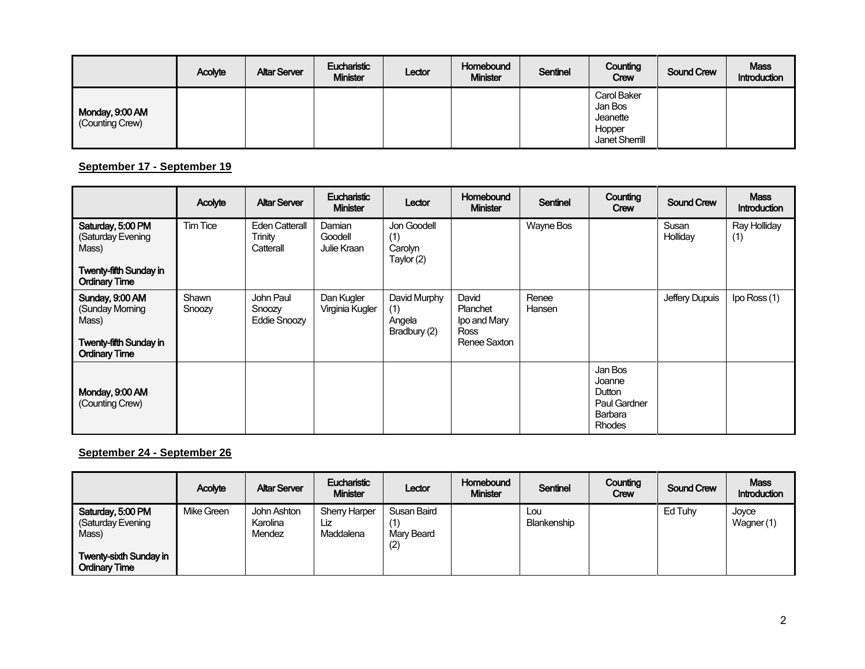|                                    | Acolyte | <b>Altar Server</b> | Eucharistic<br><b>Minister</b> | Lector | Homebound<br><b>Minister</b> | Sentinel | Counting<br>Crew                                               | <b>Sound Crew</b> | <b>Mass</b><br>Introduction |
|------------------------------------|---------|---------------------|--------------------------------|--------|------------------------------|----------|----------------------------------------------------------------|-------------------|-----------------------------|
| Monday, 9:00 AM<br>(Counting Crew) |         |                     |                                |        |                              |          | Carol Baker<br>Jan Bos<br>Jeanette<br>Hopper<br>Janet Sherrill |                   |                             |

**September 17 - September 19**

|                                                                                                          | Acolyte         | <b>Altar Server</b>                           | <b>Eucharistic</b><br><b>Minister</b> | Lector                                        | <b>Homebound</b><br><b>Minister</b>                       | <b>Sentinel</b> | Counting<br>Crew                                                        | <b>Sound Crew</b> | <b>Mass</b><br><b>Introduction</b> |
|----------------------------------------------------------------------------------------------------------|-----------------|-----------------------------------------------|---------------------------------------|-----------------------------------------------|-----------------------------------------------------------|-----------------|-------------------------------------------------------------------------|-------------------|------------------------------------|
| Saturday, 5:00 PM<br>(Saturday Evening<br>Mass)<br><b>Twenty-fifth Sunday in</b><br><b>Ordinary Time</b> | <b>Tim Tice</b> | <b>Eden Catterall</b><br>Trinity<br>Catterall | Damian<br>Goodell<br>Julie Kraan      | Jon Goodell<br>(1)<br>Carolyn<br>Taylor (2)   |                                                           | Wayne Bos       |                                                                         | Susan<br>Holliday | Ray Holliday<br>(1)                |
| Sunday, 9:00 AM<br>(Sunday Moming<br>Mass)<br><b>Twenty-fifth Sunday in</b><br><b>Ordinary Time</b>      | Shawn<br>Snoozy | John Paul<br>Snoozy<br><b>Eddie Snoozy</b>    | Dan Kugler<br>Virginia Kugler         | David Murphy<br>(1)<br>Angela<br>Bradbury (2) | David<br>Planchet<br>Ipo and Mary<br>Ross<br>Renee Saxton | Renee<br>Hansen |                                                                         | Jeffery Dupuis    | Ipo Ross (1)                       |
| Monday, 9:00 AM<br>(Counting Crew)                                                                       |                 |                                               |                                       |                                               |                                                           |                 | Jan Bos<br>Joanne<br>Dutton<br>Paul Gardner<br>Barbara<br><b>Rhodes</b> |                   |                                    |

**September 24 - September 26**

|                                                                                                          | Acolyte           | <b>Altar Server</b>                      | Eucharistic<br><b>Minister</b>           | Lector                           | Homebound<br><b>Minister</b> | Sentinel           | Counting<br>Crew | <b>Sound Crew</b> | <b>Mass</b><br>Introduction |
|----------------------------------------------------------------------------------------------------------|-------------------|------------------------------------------|------------------------------------------|----------------------------------|------------------------------|--------------------|------------------|-------------------|-----------------------------|
| Saturday, 5:00 PM<br>(Saturday Evening<br>Mass)<br><b>Twenty-sixth Sunday in</b><br><b>Ordinary Time</b> | <b>Mike Green</b> | John Ashton<br>Karolina<br><b>Mendez</b> | <b>Sherry Harper</b><br>Lız<br>Maddalena | Susan Baird<br>Mary Beard<br>(2) |                              | Lou<br>Blankenship |                  | Ed Tuhy           | Joyce<br>Wagner (1)         |